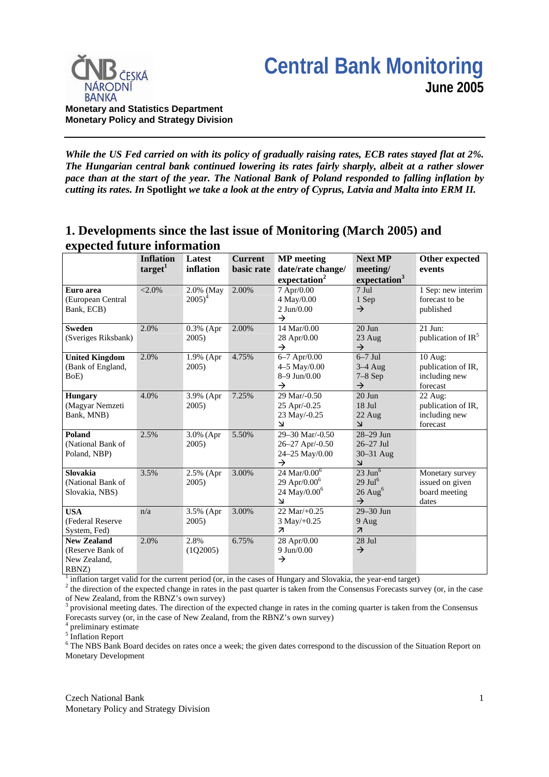



*While the US Fed carried on with its policy of gradually raising rates, ECB rates stayed flat at 2%. The Hungarian central bank continued lowering its rates fairly sharply, albeit at a rather slower pace than at the start of the year. The National Bank of Poland responded to falling inflation by cutting its rates. In* **Spotlight** *we take a look at the entry of Cyprus, Latvia and Malta into ERM II.* 

# **1. Developments since the last issue of Monitoring (March 2005) and expected future information**

|                                                                 | <b>Inflation</b><br>target <sup>1</sup> | Latest<br>inflation    | <b>Current</b><br>basic rate | <b>MP</b> meeting<br>date/rate change/                                                        | <b>Next MP</b><br>meeting/                                                          | Other expected<br>events                                     |
|-----------------------------------------------------------------|-----------------------------------------|------------------------|------------------------------|-----------------------------------------------------------------------------------------------|-------------------------------------------------------------------------------------|--------------------------------------------------------------|
|                                                                 |                                         |                        |                              | expectation <sup>2</sup>                                                                      | expectation <sup>3</sup>                                                            |                                                              |
| Euro area<br>(European Central<br>Bank, ECB)                    | $< 2.0\%$                               | 2.0% (May<br>$2005)^4$ | 2.00%                        | 7 Apr/0.00<br>4 May/0.00<br>$2$ Jun/0.00<br>$\rightarrow$                                     | $7 \text{ Jul}$<br>1 Sep<br>$\rightarrow$                                           | 1 Sep: new interim<br>forecast to be<br>published            |
| <b>Sweden</b><br>(Sveriges Riksbank)                            | 2.0%                                    | 0.3% (Apr<br>2005)     | 2.00%                        | 14 Mar/0.00<br>28 Apr/0.00<br>$\rightarrow$                                                   | $20$ Jun<br>23 Aug<br>$\rightarrow$                                                 | 21 Jun:<br>publication of $IR5$                              |
| <b>United Kingdom</b><br>(Bank of England,<br>BoE)              | 2.0%                                    | 1.9% (Apr<br>$2005$ )  | 4.75%                        | 6-7 Apr/0.00<br>4-5 May/0.00<br>$8-9$ Jun/0.00<br>$\rightarrow$                               | $6-7$ Jul<br>$3-4$ Aug<br>$7-8$ Sep<br>$\rightarrow$                                | 10 Aug:<br>publication of IR,<br>including new<br>forecast   |
| <b>Hungary</b><br>(Magyar Nemzeti<br>Bank, MNB)                 | 4.0%                                    | 3.9% (Apr<br>$2005$ )  | 7.25%                        | 29 Mar/- $0.50$<br>25 Apr/-0.25<br>23 May/-0.25<br>$\Delta$                                   | $20$ Jun<br>$18$ Jul<br>22 Aug<br>$\overline{\mathsf{K}}$                           | $22$ Aug:<br>publication of IR,<br>including new<br>forecast |
| Poland<br>(National Bank of<br>Poland, NBP)                     | 2.5%                                    | 3.0% (Apr<br>$2005$ )  | 5.50%                        | 29-30 Mar/-0.50<br>26-27 Apr/-0.50<br>24-25 May/0.00<br>$\rightarrow$                         | 28-29 Jun<br>$26-27$ Jul<br>$30 - 31$ Aug<br>$\overline{\mathsf{K}}$                |                                                              |
| Slovakia<br>(National Bank of<br>Slovakia, NBS)                 | 3.5%                                    | 2.5% (Apr<br>2005)     | 3.00%                        | 24 Mar/ $0.00^6$<br>29 Apr/0.00 $^{6}$<br>24 May/0.00 <sup>6</sup><br>$\overline{\mathbf{r}}$ | $23 \text{ Jun}^6$<br>$29 \mathrm{Jul}^6$<br>$26$ Aug <sup>6</sup><br>$\rightarrow$ | Monetary survey<br>issued on given<br>board meeting<br>dates |
| <b>USA</b><br>(Federal Reserve<br>System, Fed)                  | n/a                                     | 3.5% (Apr<br>2005)     | 3.00%                        | $22 \text{ Mar}/+0.25$<br>$3$ May/+0.25<br>$\overline{\mathbf{z}}$                            | 29-30 Jun<br>9 Aug<br>$\overline{\mathcal{A}}$                                      |                                                              |
| <b>New Zealand</b><br>(Reserve Bank of<br>New Zealand,<br>RBNZ) | 2.0%                                    | 2.8%<br>(1Q2005)       | 6.75%                        | 28 Apr/0.00<br>9 Jun/0.00<br>$\rightarrow$                                                    | 28 Jul<br>$\rightarrow$                                                             |                                                              |

<sup>1</sup> inflation target valid for the current period (or, in the cases of Hungary and Slovakia, the year-end target)  $\frac{2}{3}$  the direction of the argeted change in rates in the pest quarter is taken from the Consensus Ecre

 $2$  the direction of the expected change in rates in the past quarter is taken from the Consensus Forecasts survey (or, in the case of New Zealand, from the RBNZ's own survey)

3 provisional meeting dates. The direction of the expected change in rates in the coming quarter is taken from the Consensus Forecasts survey (or, in the case of New Zealand, from the RBNZ's own survey)

4 preliminary estimate

<sup>5</sup> Inflation Report

<sup>6</sup> The NBS Bank Board decides on rates once a week; the given dates correspond to the discussion of the Situation Report on Monetary Development

Czech National Bank Monetary Policy and Strategy Division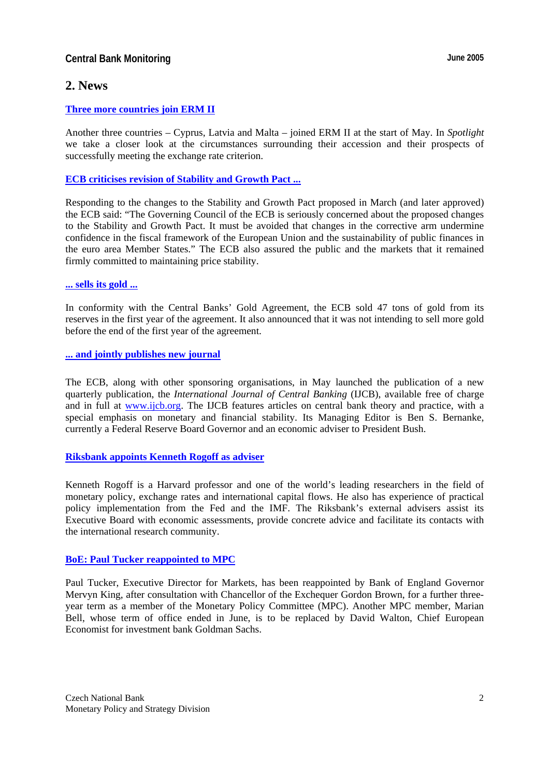## **Central Bank Monitoring Central Bank Monitoring Central Bank Monitoring Central Bank Monitoring Central Bank Monitoring Central Bank Monitoring Central Bank Monitoring Central Bank Monitoring Central Bank Monitoring Centr**

# **2. News**

## **[Three more countries join ERM II](http://www.ecb.int/press/pr/date/2005/html/pr050502.en.html)**

Another three countries – Cyprus, Latvia and Malta – joined ERM II at the start of May. In *Spotlight* we take a closer look at the circumstances surrounding their accession and their prospects of successfully meeting the exchange rate criterion.

## **[ECB criticises revision of Stability and Growth Pact ...](http://www.ecb.int/press/pr/date/2005/html/pr050321.en.html)**

Responding to the changes to the Stability and Growth Pact proposed in March (and later approved) the ECB said: "The Governing Council of the ECB is seriously concerned about the proposed changes to the Stability and Growth Pact. It must be avoided that changes in the corrective arm undermine confidence in the fiscal framework of the European Union and the sustainability of public finances in the euro area Member States." The ECB also assured the public and the markets that it remained firmly committed to maintaining price stability.

#### **[... sells its gold ...](http://www.ecb.int/press/pr/date/2005/html/pr050331.en.html)**

In conformity with the Central Banks' Gold Agreement, the ECB sold 47 tons of gold from its reserves in the first year of the agreement. It also announced that it was not intending to sell more gold before the end of the first year of the agreement.

#### **[... and jointly publishes new journal](http://www.ecb.int/press/pr/date/2005/html/pr050519.en.html)**

The ECB, along with other sponsoring organisations, in May launched the publication of a new quarterly publication, the *International Journal of Central Banking* (IJCB), available free of charge and in full at [www.ijcb.org.](http://www.ijcb.org) The IJCB features articles on central bank theory and practice, with a special emphasis on monetary and financial stability. Its Managing Editor is Ben S. Bernanke, currently a Federal Reserve Board Governor and an economic adviser to President Bush.

#### **[Riksbank appoints Kenneth Rogoff as adviser](http://www.riksbank.com/templates/Page.aspx?id=16877)**

Kenneth Rogoff is a Harvard professor and one of the world's leading researchers in the field of monetary policy, exchange rates and international capital flows. He also has experience of practical policy implementation from the Fed and the IMF. The Riksbank's external advisers assist its Executive Board with economic assessments, provide concrete advice and facilitate its contacts with the international research community.

#### **[BoE: Paul Tucker reappointed to MPC](http://www.bankofengland.co.uk/publications/news/2005/059.htm)**

Paul Tucker, Executive Director for Markets, has been reappointed by Bank of England Governor Mervyn King, after consultation with Chancellor of the Exchequer Gordon Brown, for a further threeyear term as a member of the Monetary Policy Committee (MPC). Another MPC member, Marian Bell, whose term of office ended in June, is to be replaced by David Walton, Chief European Economist for investment bank Goldman Sachs.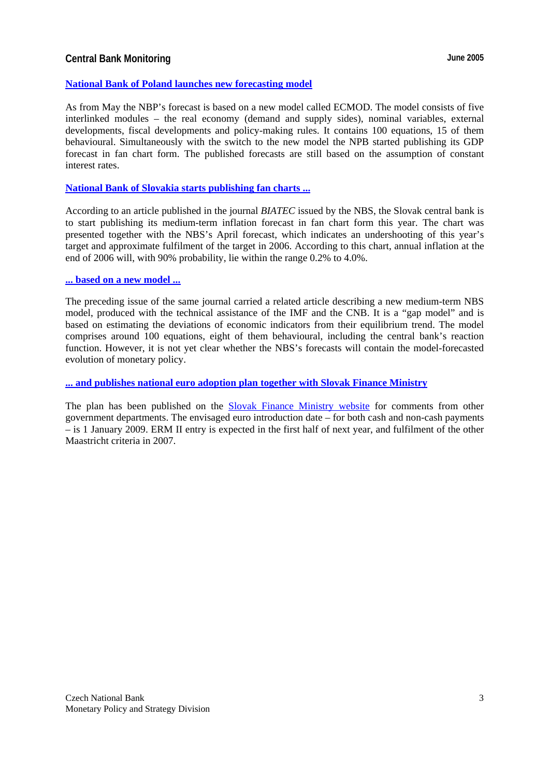## **Central Bank Monitoring Central Bank Monitoring Central Bank Monitoring Central Bank Monitoring Central Bank Monitoring Central Bank Monitoring Central Bank Monitoring Central Bank Monitoring Central Bank Monitoring Centr**

#### **[National Bank of Poland launches new forecasting model](http://www.nbp.pl/publikacje/materialy_i_studia/Ms194.pdf)**

As from May the NBP's forecast is based on a new model called ECMOD. The model consists of five interlinked modules – the real economy (demand and supply sides), nominal variables, external developments, fiscal developments and policy-making rules. It contains 100 equations, 15 of them behavioural. Simultaneously with the switch to the new model the NPB started publishing its GDP forecast in fan chart form. The published forecasts are still based on the assumption of constant interest rates.

## **[National Bank of Slovakia starts publishing fan charts ...](http://www.nbs.sk/BIATEC/BIA05_05/19_21.PDF)**

According to an article published in the journal *BIATEC* issued by the NBS, the Slovak central bank is to start publishing its medium-term inflation forecast in fan chart form this year. The chart was presented together with the NBS's April forecast, which indicates an undershooting of this year's target and approximate fulfilment of the target in 2006. According to this chart, annual inflation at the end of 2006 will, with 90% probability, lie within the range 0.2% to 4.0%.

#### **[... based on a new model ...](http://www.nbs.sk/BIATEC/BIA04_05/15_23.PDF)**

The preceding issue of the same journal carried a related article describing a new medium-term NBS model, produced with the technical assistance of the IMF and the CNB. It is a "gap model" and is based on estimating the deviations of economic indicators from their equilibrium trend. The model comprises around 100 equations, eight of them behavioural, including the central bank's reaction function. However, it is not yet clear whether the NBS's forecasts will contain the model-forecasted evolution of monetary policy.

#### **[... and publishes national euro adoption plan together with Slovak Finance Ministry](http://www.nbs.sk/PRESS/TS050520_2.HTM)**

The plan has been published on the [Slovak Finance Ministry website](http://www.finance.gov.sk/mfsr/mfsr.nsf/0/e5a6447d9d4f5583c1257007003348e3/$FILE/material.pdf) for comments from other government departments. The envisaged euro introduction date – for both cash and non-cash payments – is 1 January 2009. ERM II entry is expected in the first half of next year, and fulfilment of the other Maastricht criteria in 2007.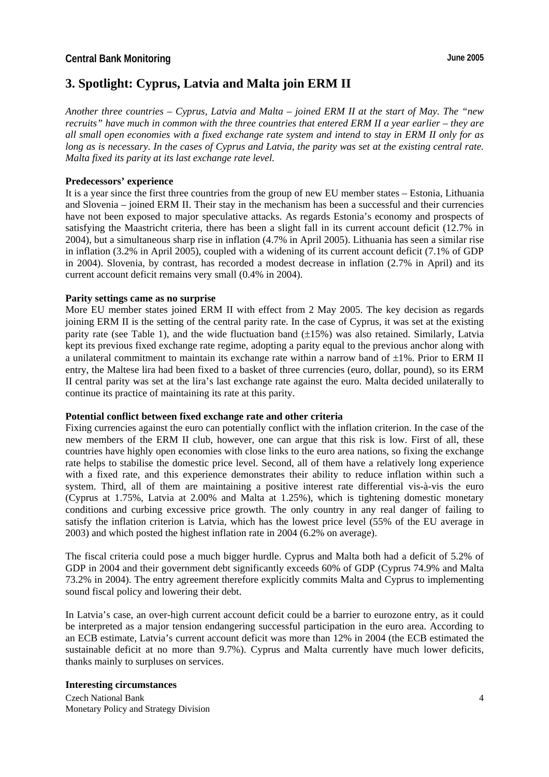# **3. Spotlight: Cyprus, Latvia and Malta join ERM II**

*Another three countries – Cyprus, Latvia and Malta – joined ERM II at the start of May. The "new recruits" have much in common with the three countries that entered ERM II a year earlier – they are all small open economies with a fixed exchange rate system and intend to stay in ERM II only for as long as is necessary. In the cases of Cyprus and Latvia, the parity was set at the existing central rate. Malta fixed its parity at its last exchange rate level.* 

#### **Predecessors' experience**

It is a year since the first three countries from the group of new EU member states – Estonia, Lithuania and Slovenia – joined ERM II. Their stay in the mechanism has been a successful and their currencies have not been exposed to major speculative attacks. As regards Estonia's economy and prospects of satisfying the Maastricht criteria, there has been a slight fall in its current account deficit (12.7% in 2004), but a simultaneous sharp rise in inflation (4.7% in April 2005). Lithuania has seen a similar rise in inflation (3.2% in April 2005), coupled with a widening of its current account deficit (7.1% of GDP in 2004). Slovenia, by contrast, has recorded a modest decrease in inflation (2.7% in April) and its current account deficit remains very small (0.4% in 2004).

#### **Parity settings came as no surprise**

More EU member states joined ERM II with effect from 2 May 2005. The key decision as regards joining ERM II is the setting of the central parity rate. In the case of Cyprus, it was set at the existing parity rate (see Table 1), and the wide fluctuation band (±15%) was also retained. Similarly, Latvia kept its previous fixed exchange rate regime, adopting a parity equal to the previous anchor along with a unilateral commitment to maintain its exchange rate within a narrow band of  $\pm 1\%$ . Prior to ERM II entry, the Maltese lira had been fixed to a basket of three currencies (euro, dollar, pound), so its ERM II central parity was set at the lira's last exchange rate against the euro. Malta decided unilaterally to continue its practice of maintaining its rate at this parity.

#### **Potential conflict between fixed exchange rate and other criteria**

Fixing currencies against the euro can potentially conflict with the inflation criterion. In the case of the new members of the ERM II club, however, one can argue that this risk is low. First of all, these countries have highly open economies with close links to the euro area nations, so fixing the exchange rate helps to stabilise the domestic price level. Second, all of them have a relatively long experience with a fixed rate, and this experience demonstrates their ability to reduce inflation within such a system. Third, all of them are maintaining a positive interest rate differential vis-à-vis the euro (Cyprus at 1.75%, Latvia at 2.00% and Malta at 1.25%), which is tightening domestic monetary conditions and curbing excessive price growth. The only country in any real danger of failing to satisfy the inflation criterion is Latvia, which has the lowest price level (55% of the EU average in 2003) and which posted the highest inflation rate in 2004 (6.2% on average).

The fiscal criteria could pose a much bigger hurdle. Cyprus and Malta both had a deficit of 5.2% of GDP in 2004 and their government debt significantly exceeds 60% of GDP (Cyprus 74.9% and Malta 73.2% in 2004). The entry agreement therefore explicitly commits Malta and Cyprus to implementing sound fiscal policy and lowering their debt.

In Latvia's case, an over-high current account deficit could be a barrier to eurozone entry, as it could be interpreted as a major tension endangering successful participation in the euro area. According to an ECB estimate, Latvia's current account deficit was more than 12% in 2004 (the ECB estimated the sustainable deficit at no more than 9.7%). Cyprus and Malta currently have much lower deficits, thanks mainly to surpluses on services.

# **Interesting circumstances**

Czech National Bank Monetary Policy and Strategy Division